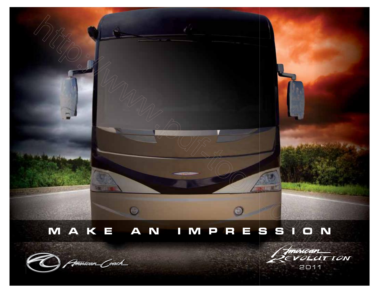

# IMPRESS<sup>YO</sup>N MAKE AN



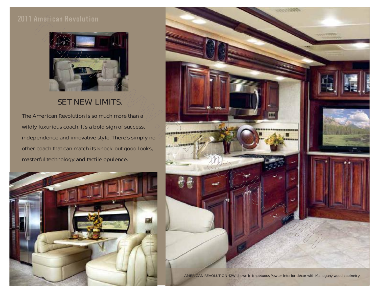

# SET NEW LIMITS.

The American Revolution is so much more than a wildly luxurious coach. It's a bold sign of success, independence and innovative style. There's simply no other coach that can match its knock-out good looks, masterful technology and tactile opulence.



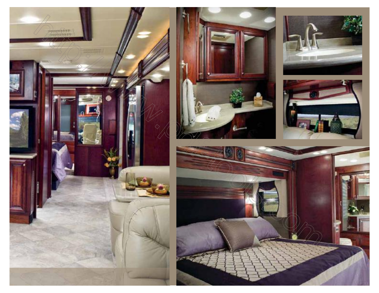







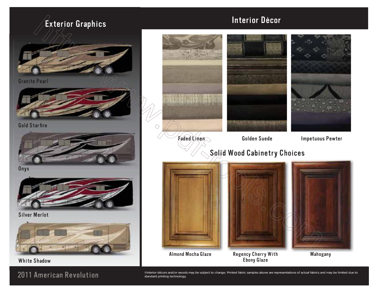

# Granite Pearl



Gold Starfire





Silver Merlot



White Shadow



†Interior décors and/or woods may be subject to change. Printed fabric samples above are representations of actual fabrics and may be limited due to standard printing technology.

# Interior Décor

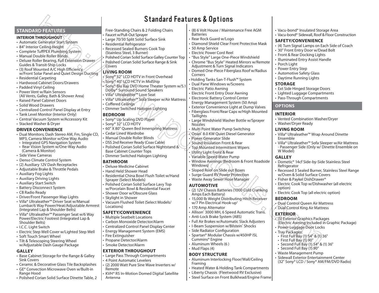

### **STANDARD FEATURES**

### **INTERIOR THROUGHOUT**

- Automatic Generator Start System
- $\cdot$  84" Interior Ceiling Height
- Complete TuffPEX Plumbing System)
- Manual Double Roller Blinds
- Deluxe Roller Bearing, Full Extension Drawer Guides & Transit-Ship Locks
- $\cdot$  (3) Roof Mounted A/C High Efficiency w/Front Solar Panel and Quiet Design Ducting
- Residential Carpeting
- Hardwood Cabinet Doors/Drawers
- Padded Vinyl Ceiling
- Power Vent w/Rain Sensors (All Vents, Galley, Bath & Shower Area)
- Raised Panel Cabinet Doors
- Solid Wood Drawers
- Centralized Control Panel Display at Entry
- Tank Level Monitor (Interior Only)
- Central Vacuum System w/Accessory Kit
- Stacked Washer & Dryer

### **DRIVER CONVENIENCE**

- Dual Monitors; Dash Stereo AM, Fm, Single CD, MP3, Camera Monitor w/One Way Audio
- Integrated GPS Navigation System
- Rear Vision System w/One-Way Audio (Camera & Monitor)
- Side View Cameras
- Denso Climate Control System
- (2) Auxiliary 12V Dash Receptacles
- Adjustable Brake & Throttle Pedals
- Auxiliary Fog Lights
- Auxiliary Driving Lights
- Auxiliary Start Switch
- Battery Disconnect System
- CB Radio Ready
- Driver/Front Passenger Map Lights
- Villa® Ultraleather™ Driver Seat w/Manual Lumbar/6 Way Power/Heat/Adjustable Armrest (Integrated Lap & Shoulder Belts)
- Villa® Ultraleather™ Passenger Seat w/6 Way Power/Electric Footrest (Integrated Lap & Shoulder Belts)
- I.C.C. Light Switch
- Electric Step Well Cover w/Lighted Step Well
- Soft Touch Smart Wheel
- Tilt & Telescoping Steering Wheel w/Adjustable Dash Gauge Package

### **GALLEY**

- Base Cabinet Storage for the Range & Galley Sink Covers
- Ceramic & Decorative Glass Tile Backsplashes
- GE® Convection Microwave Oven w/Built-in Range Hood
- Polished Corian Solid Surface Dinette Table, 2
- Standard Features & Options
- Free-Standing Chairs & 2 Folding Chairs • Large 70/30 Split Solid Surface Sink • Recessed Sealed Burners Cook Top • Polished Corian Solid Surface Galley Counter Top • Polished Corian Solid Surface Range & Sink  $\sqrt{s}$ ony® $\beta$ 2" LCD HDTV in Front Overhead • Sony® 40" LCD HCTV in MidShip • (8) 6 Volt House / Maintenance Free AGM **Batteries** • Rear Rock Guard w/Logo • 50 Amp Service Corners
- Sony® Blu Ray DVD Home Theater System w/5.1
- Dolby<sup>®</sup> Surround Sound Speakers • Villa® Ultraleather™ Love Seat

• Faucet w/Pull-Out Sprayer

• Residential Refrigerator

(Stainless Steel, 3 Burner)

- Villa® Ultraleather™ Sofa Sleeper w/Air Mattress
- **Coffered Ceilings**
- Dimmer Switched Halogen Lighting

### **BEDROOM**

Covers **LIVING ROOM**

◇

- Sony® Up Scaling DVD Player
- Sony® 32" LCD HDTV
- 60" X 80" Queen Bed Innerspring Mattress • Cedar Lined Wardrobe
- Manual Double Roller Blinds
- DSS 2nd Receiver Ready (Coax Cable)
- Polished Corian Solid Surface Nightstand &
- Base Cabinet Counter Tops
- Dimmer Switched Halogen Lighting

### **BATHROOM**

- Deluxe Medicine Cabinet
- Hand Held Shower Head
- Residential China Bowl Flush Toilet w/Hand Sprayer (Select Models)
- Polished Corian Solid Surface Lavy Top
- w/Porcelain Bowl & Residential Faucet
- Shower Door w/Obscure Glass
- Skylight in Shower
- Vacuum Flushed Toilet (Select Models/ Locations)

### **SAFETY/CONVENIENCE**

- Multiple Seatbelt Locations
- Carbon Monoxide Detector/Alarm
- Centralized Control Panel Display Center
- Energy Management System (EMS)
- Fire Extinguisher
- Propane Detector/Alarm
- Smoke Detector/Alarm

### **EXTERIOR THROUGHOUT**

- Large Pass Through Compartments
- 4 Point Automatic Levelers
- (2) 2000 Watt Pure Sine Wave Inverters w/ Remote
- KVH® R5 In-Motion Domed Digital Satellite Antenna

• Diamond Shield Clear Front Protective Mask• Electric Power Cord Reel• "Bus Style" Large One-Piece Windshield • Chrome "Bus Style" Heated Mirrors w/Remote Adjustment & Turn Signal Indicators • Domed One-Piece Fiberglass Roof w/Radius

• Vacu-bond® Insulated Storage Area

• 30" Front Entry Door w/Dead Bolt • Front & Rear Docking Lights • Illuminated Entry Assist Handle

• Ext Side Hinged Storage Doors • Lighted Luggage Compartments • Pass-Through Compartments

• Vented Combination Washer/Dryer

• Villa® Ultraleather™ Wrap Around Dinette

• Dometic® 14cf Side-by-Side Stainless Steel

• Electric Cook Top w/Dishwasher (all electric

(Electric Awning Included in Graphic Package)

w/Oven & Solid Surface Covers• Fisher & Paykel DishDrawer®

• Electric Cook Top (all electric option)

• Dual Control Queen Air Mattress • Dual Control King Air Mattress

• (5) Exterior Graphics Packages

• Power Luggage Door Locks

• First FullʿBáy (1)∕5́4" & (1))36" • First Full Bay (1) 90"

• Second Full Bay  $(1)$  54" &  $(1)$  36" • Second Full Bay (1) 90" • Waste Management Pump

• Sidewall Exterior Entertainment Center (32" Sony® LCD / Sony® AM/FM/DVD Radio)

• Villa® Ultraleather™ Sofa Sleeper w/Air Mattress - Passenger Side (Only w/ Dinette Ensemble on

• Recessed 3 Sealed Burner, Stainless Steel Range

**SAFETY/CONVENIENCE**

• Porch Light • Power Entry Step • Automotive Safety Glass • Daytime Running Lights

**STORAGE**

**OPTIONSINTERIOR**

Ensemble

W Model) **GALLEY**

Refrigerator

option)

**BEDROOM**

**EXTERIOR**

• Tray Packages:

• Washer/Dryer Ready **LIVING ROOM**

• Vacu-bond® Sidewall, Roof & Floor Construction

• (4) Turn Signal Lamps on Each Side of Coach

- Holding Tanks San-T-Flush™ System • Dual Pane Windows w/Screens
- Electric Patio Awning
- Electric Front Entry Door Awning
- Electronic Battery Control Center
- Energy Management System (50 Amp)
- Exterior Convenience Light at Dump Valves
- Fiberglass Front/Rear Caps w/High Mounted **Taillights**
- Large Windshield Washer Bottle w/Sprayer Nozzles
- Multi Point Water Pump Switching
- Onan® 8.0 KW Quiet Diesel Generator
- Power Generator Slide
- Sound Insulation Front & Rear
- Top Mounted Intermittent Wipers • Utility Light Front & Rear
- Variable Speed Water Pump

**AUTOMOTIVE**

Amps Each Battery)

w/7 Pin Electrical Hook-up† • 170 Amp Alternator

• Anti-Lock Brake System (ABS)

• Side Radiator Configuration

Cummins® Engine • Aluminum Wheels (6 ) • Mud Flaps (4) **BODY STRUCTURE**

Framing

- 
- Window Awnings (Bedroom & Front Roadside Windows<sup>y</sup>

• (2) 12V Chassis Batteries (1000 Cold Cranking

• 15,000 lb Weight Distributing Hitch Receiver

• Allison® 3000 MH, 6 Speed Automatic Tranš.

• Full Air Brakes w/Automatic Slack Adjusters • I-Beam Suspension w/Bilstein® Shocks

• Spartan® Modular Chassis w/450HP ISL

• Aluminum Interlocking Floor/Wall/Ceiling

• Heated Water & Holding Tank Compartments • Liberty Chassis (Fleetwood RV Exclusive) • Steel Surface on Front Bulkhead/Engine Frame

• Sloped Roof on Slide out Boxes • Surge Guard RV Power Protection • Waste Away Sewer Hose Manager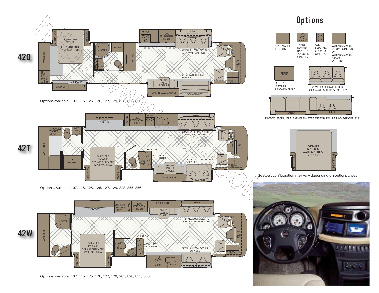

Options available: 107, 115, 125, 126, 127, 129, 205, 828, 855, 856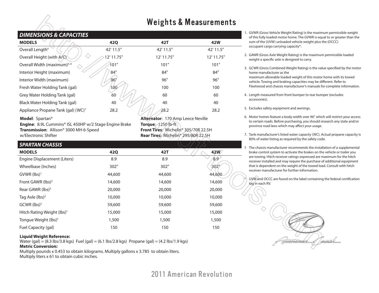# Weights & Measurements

| <b>DIMENSIONS &amp; CAPACITIES</b>             |                                   |            |            |
|------------------------------------------------|-----------------------------------|------------|------------|
| <b>MODELS</b>                                  | 42Q                               | 42T        | <b>42W</b> |
| Overall Length <sup>4</sup>                    | 42' 11.5"                         | 42' 11.5"  | 42' 11.5"  |
| Overall Height (with A/C)                      | 12' 11.75"                        | 12' 11.75" | 12' 11.75" |
| Overall Width (maximum) <sup>5, 6</sup>        | 101"                              | 101"       | 101"       |
| Interior Height (maximum)                      | 84"                               | 84"        | 84"        |
| Interior Width (maximum)                       | 96'                               | 96"        | 96"        |
| Fresh Water Holding Tank (gal)                 | 100                               | 100        | 100        |
| Grey Water Holding Tank (gal)                  | 60                                | 60         | 60         |
| Black Water Holding Tank (gal)                 | 40                                | 40         | 40         |
| Appliance Propane Tank (gal) (WC) <sup>7</sup> | 28.2                              | $-28.2$    | 28.2       |
| Model: Spartan <sup>®</sup>                    | Alternator: 170 Amp Leece Neville |            |            |

 $\frac{1}{2}$ 

**Engine**: 8.9L Cummins® ISL 450HP w/2 Stage Engine Brake **Torque**: 1250 lb-ft **Transmission**: Allison® 3000 MH 6-Speed **Front Tires**: Michelin® 305/70R 22.5H w/Electronic Shifter **Rear Tires:** Michelin® 295/80R 22.5H

### *SPARTAN CHASSIS* **MODELS 42Q 42T 42W** Engine Displacement (Liters) 8.9 8.9 8.9 8.9 8.9 Wheelbase (Inches) 302" 302" 302" GVWR (lbs)<sup>1</sup> 44,600 44,600 44,600 Front GAWR (lbs)<sup>2</sup> 14,600 14,600 14,600 14,600 Rear GAWR (lbs)<sup>2</sup> 20,000 20,000 20,000 20,000 20,000 20,000 20,000 Tag Axle (lbs)<sup>2</sup> 10,000 10,000 10,000 10,000 10,000 10,000 10,000 10,000 10,000 10,000 10,000 10,000 10,000 10,000 10,000 10,000 10,000 10,000 10,000 10,000 10,000 10,000 10,000 10,000 10,000 10,000 10,000 10,000 10,000 1 GCWR (lbs)<sup>3</sup> 59,600 59,600 59,600 59,600 59,600 59,600 59,600 59,600 59,600 59,600 59,600 59,600 59,600 59,600 Hitch Rating Weight (lbs)† 15,000 15,000 15,000 Tongue Weight (lbs)<sup>†</sup> 1,500 1,500 1,500 1,500 1,500 Fuel Capacity (gal) 150 150 150

### **Liquid Weight Reference:**

Water (gal) =  $(8.3 \text{ lbs}/3.8 \text{ kg})$  Fuel (gal) =  $(6.1 \text{ lbs}/2.8 \text{ kg})$  Propane (gal) =  $(4.2 \text{ lbs}/1.9 \text{ kg})$ **Metric Conversion:**

Multiply pounds x 0.453 to obtain kilograms. Multiply gallons x 3.785 to obtain liters. Multiply liters x 61 to obtain cubic inches.

 1. GVWR (Gross Vehicle Weight Rating) is the maximum permissible weight of this fully loaded motor home. The GVWR is equal to or greater than the sum of the (UVW) unloaded vehicle weight plus the (OCCC) occupant cargo carrying capacity\*.

- 2. GAWR (Gross Axle Weight Rating) is the maximum permissible loaded weight a specific axle is designed to carry.
- 3. GCWR (Gross Combined Weight Rating) is the value specified by the motor home manufacturer as the

maximum allowable loaded weight of this motor home with its towed vehicle. Towing and braking capacities may be different. Refer to Fleetwood and chassis manufacturer's manuals for complete information.

- 4. Length measured from front bumper to rear bumper (excludes accessories).
- 5. Excludes safety equipment and awnings.
- 6. Motor homes feature a body-width over 96" which will restrict your access to certain roads. Before purchasing, you should research any state and/or province road laws which may affect your usage.
- 7. Tank manufacturer's listed water capacity (WC). Actual propane capacity is 80% of water listing as required by the safety code.
- The chassis manufacturer recommends the installation of a supplemental brake control system to activate the brakes on the vehicle or trailer you are towing. Hitch receiver ratings expressed are maximum for the hitch receiver installed and may require the purchase of additional equipment that is dependent on the weight of the towed load. Consult with hitch receiver manufacturer for further information.

 $UVM\$  and OCCC are found on the label containing the federal certification  $\mathsf{taq}$  in each RV.